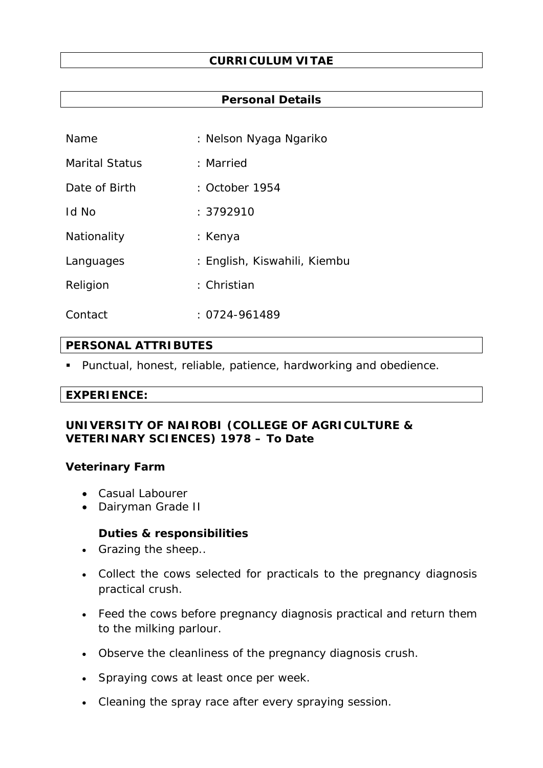### **Personal Details**

| Name           | : Nelson Nyaga Ngariko       |
|----------------|------------------------------|
| Marital Status | : Married                    |
| Date of Birth  | : October 1954               |
| Id No          | : 3792910                    |
| Nationality    | : Kenya                      |
| Languages      | : English, Kiswahili, Kiembu |
| Religion       | : Christian                  |
| Contact        | $: 0724 - 961489$            |

## **PERSONAL ATTRIBUTES**

Punctual, honest, reliable, patience, hardworking and obedience.

#### **EXPERIENCE:**

## **UNIVERSITY OF NAIROBI (COLLEGE OF AGRICULTURE & VETERINARY SCIENCES) 1978 – To Date**

#### **Veterinary Farm**

- Casual Labourer
- Dairyman Grade II

## **Duties & responsibilities**

- Grazing the sheep..
- Collect the cows selected for practicals to the pregnancy diagnosis practical crush.
- Feed the cows before pregnancy diagnosis practical and return them to the milking parlour.
- Observe the cleanliness of the pregnancy diagnosis crush.
- Spraying cows at least once per week.
- Cleaning the spray race after every spraying session.